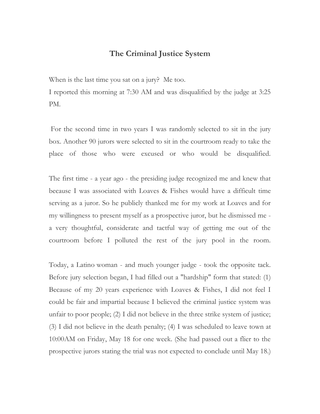## **The Criminal Justice System**

When is the last time you sat on a jury? Me too.

I reported this morning at 7:30 AM and was disqualified by the judge at 3:25 PM.

For the second time in two years I was randomly selected to sit in the jury box. Another 90 jurors were selected to sit in the courtroom ready to take the place of those who were excused or who would be disqualified.

The first time - a year ago - the presiding judge recognized me and knew that because I was associated with Loaves & Fishes would have a difficult time serving as a juror. So he publicly thanked me for my work at Loaves and for my willingness to present myself as a prospective juror, but he dismissed me a very thoughtful, considerate and tactful way of getting me out of the courtroom before I polluted the rest of the jury pool in the room.

Today, a Latino woman - and much younger judge - took the opposite tack. Before jury selection began, I had filled out a "hardship" form that stated: (1) Because of my 20 years experience with Loaves & Fishes, I did not feel I could be fair and impartial because I believed the criminal justice system was unfair to poor people; (2) I did not believe in the three strike system of justice; (3) I did not believe in the death penalty; (4) I was scheduled to leave town at 10:00AM on Friday, May 18 for one week. (She had passed out a flier to the prospective jurors stating the trial was not expected to conclude until May 18.)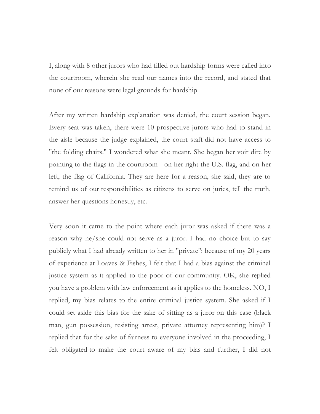I, along with 8 other jurors who had filled out hardship forms were called into the courtroom, wherein she read our names into the record, and stated that none of our reasons were legal grounds for hardship.

After my written hardship explanation was denied, the court session began. Every seat was taken, there were 10 prospective jurors who had to stand in the aisle because the judge explained, the court staff did not have access to "the folding chairs." I wondered what she meant. She began her voir dire by pointing to the flags in the courtroom - on her right the U.S. flag, and on her left, the flag of California. They are here for a reason, she said, they are to remind us of our responsibilities as citizens to serve on juries, tell the truth, answer her questions honestly, etc.

Very soon it came to the point where each juror was asked if there was a reason why he/she could not serve as a juror. I had no choice but to say publicly what I had already written to her in "private": because of my 20 years of experience at Loaves & Fishes, I felt that I had a bias against the criminal justice system as it applied to the poor of our community. OK, she replied you have a problem with law enforcement as it applies to the homeless. NO, I replied, my bias relates to the entire criminal justice system. She asked if I could set aside this bias for the sake of sitting as a juror on this case (black man, gun possession, resisting arrest, private attorney representing him)? I replied that for the sake of fairness to everyone involved in the proceeding, I felt obligated to make the court aware of my bias and further, I did not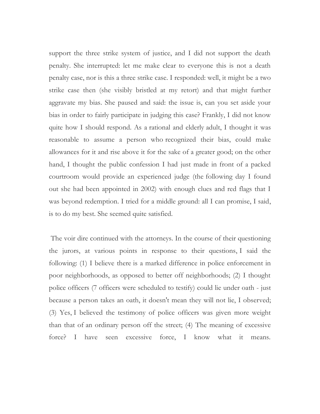support the three strike system of justice, and I did not support the death penalty. She interrupted: let me make clear to everyone this is not a death penalty case, nor is this a three strike case. I responded: well, it might be a two strike case then (she visibly bristled at my retort) and that might further aggravate my bias. She paused and said: the issue is, can you set aside your bias in order to fairly participate in judging this case? Frankly, I did not know quite how I should respond. As a rational and elderly adult, I thought it was reasonable to assume a person who recognized their bias, could make allowances for it and rise above it for the sake of a greater good; on the other hand, I thought the public confession I had just made in front of a packed courtroom would provide an experienced judge (the following day I found out she had been appointed in 2002) with enough clues and red flags that I was beyond redemption. I tried for a middle ground: all I can promise, I said, is to do my best. She seemed quite satisfied.

The voir dire continued with the attorneys. In the course of their questioning the jurors, at various points in response to their questions, I said the following: (1) I believe there is a marked difference in police enforcement in poor neighborhoods, as opposed to better off neighborhoods; (2) I thought police officers (7 officers were scheduled to testify) could lie under oath - just because a person takes an oath, it doesn't mean they will not lie, I observed; (3) Yes, I believed the testimony of police officers was given more weight than that of an ordinary person off the street; (4) The meaning of excessive force? I have seen excessive force, I know what it means.